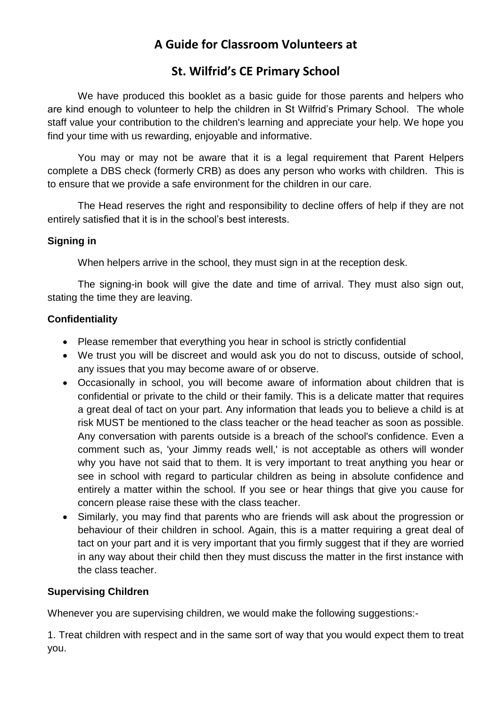# **A Guide for Classroom Volunteers at**

## **St. Wilfrid's CE Primary School**

We have produced this booklet as a basic guide for those parents and helpers who are kind enough to volunteer to help the children in St Wilfrid's Primary School. The whole staff value your contribution to the children's learning and appreciate your help. We hope you find your time with us rewarding, enjoyable and informative.

You may or may not be aware that it is a legal requirement that Parent Helpers complete a DBS check (formerly CRB) as does any person who works with children. This is to ensure that we provide a safe environment for the children in our care.

The Head reserves the right and responsibility to decline offers of help if they are not entirely satisfied that it is in the school's best interests.

#### **Signing in**

When helpers arrive in the school, they must sign in at the reception desk.

The signing-in book will give the date and time of arrival. They must also sign out, stating the time they are leaving.

#### **Confidentiality**

- Please remember that everything you hear in school is strictly confidential
- We trust you will be discreet and would ask you do not to discuss, outside of school, any issues that you may become aware of or observe.
- Occasionally in school, you will become aware of information about children that is confidential or private to the child or their family. This is a delicate matter that requires a great deal of tact on your part. Any information that leads you to believe a child is at risk MUST be mentioned to the class teacher or the head teacher as soon as possible. Any conversation with parents outside is a breach of the school's confidence. Even a comment such as, 'your Jimmy reads well,' is not acceptable as others will wonder why you have not said that to them. It is very important to treat anything you hear or see in school with regard to particular children as being in absolute confidence and entirely a matter within the school. If you see or hear things that give you cause for concern please raise these with the class teacher.
- Similarly, you may find that parents who are friends will ask about the progression or behaviour of their children in school. Again, this is a matter requiring a great deal of tact on your part and it is very important that you firmly suggest that if they are worried in any way about their child then they must discuss the matter in the first instance with the class teacher.

## **Supervising Children**

Whenever you are supervising children, we would make the following suggestions:-

1. Treat children with respect and in the same sort of way that you would expect them to treat you.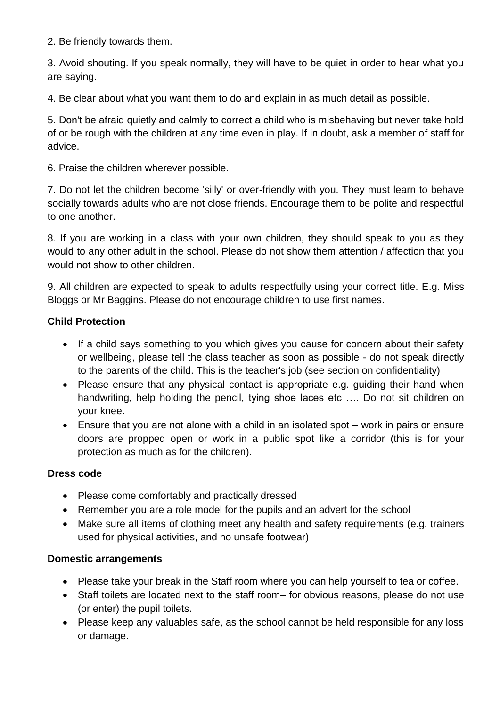2. Be friendly towards them.

3. Avoid shouting. If you speak normally, they will have to be quiet in order to hear what you are saying.

4. Be clear about what you want them to do and explain in as much detail as possible.

5. Don't be afraid quietly and calmly to correct a child who is misbehaving but never take hold of or be rough with the children at any time even in play. If in doubt, ask a member of staff for advice.

6. Praise the children wherever possible.

7. Do not let the children become 'silly' or over-friendly with you. They must learn to behave socially towards adults who are not close friends. Encourage them to be polite and respectful to one another.

8. If you are working in a class with your own children, they should speak to you as they would to any other adult in the school. Please do not show them attention / affection that you would not show to other children.

9. All children are expected to speak to adults respectfully using your correct title. E.g. Miss Bloggs or Mr Baggins. Please do not encourage children to use first names.

#### **Child Protection**

- If a child says something to you which gives you cause for concern about their safety or wellbeing, please tell the class teacher as soon as possible - do not speak directly to the parents of the child. This is the teacher's job (see section on confidentiality)
- Please ensure that any physical contact is appropriate e.g. guiding their hand when handwriting, help holding the pencil, tying shoe laces etc …. Do not sit children on your knee.
- Ensure that you are not alone with a child in an isolated spot work in pairs or ensure doors are propped open or work in a public spot like a corridor (this is for your protection as much as for the children).

#### **Dress code**

- Please come comfortably and practically dressed
- Remember you are a role model for the pupils and an advert for the school
- Make sure all items of clothing meet any health and safety requirements (e.g. trainers used for physical activities, and no unsafe footwear)

#### **Domestic arrangements**

- Please take your break in the Staff room where you can help yourself to tea or coffee.
- Staff toilets are located next to the staff room– for obvious reasons, please do not use (or enter) the pupil toilets.
- Please keep any valuables safe, as the school cannot be held responsible for any loss or damage.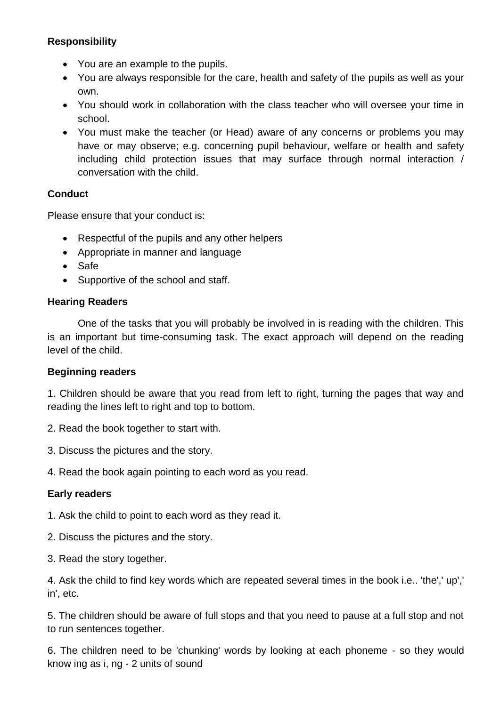#### **Responsibility**

- You are an example to the pupils.
- You are always responsible for the care, health and safety of the pupils as well as your own.
- You should work in collaboration with the class teacher who will oversee your time in school.
- You must make the teacher (or Head) aware of any concerns or problems you may have or may observe; e.g. concerning pupil behaviour, welfare or health and safety including child protection issues that may surface through normal interaction / conversation with the child.

#### **Conduct**

Please ensure that your conduct is:

- Respectful of the pupils and any other helpers
- Appropriate in manner and language
- Safe
- Supportive of the school and staff.

#### **Hearing Readers**

One of the tasks that you will probably be involved in is reading with the children. This is an important but time-consuming task. The exact approach will depend on the reading level of the child.

#### **Beginning readers**

1. Children should be aware that you read from left to right, turning the pages that way and reading the lines left to right and top to bottom.

- 2. Read the book together to start with.
- 3. Discuss the pictures and the story.
- 4. Read the book again pointing to each word as you read.

## **Early readers**

1. Ask the child to point to each word as they read it.

- 2. Discuss the pictures and the story.
- 3. Read the story together.

4. Ask the child to find key words which are repeated several times in the book i.e.. 'the',' up',' in', etc.

5. The children should be aware of full stops and that you need to pause at a full stop and not to run sentences together.

6. The children need to be 'chunking' words by looking at each phoneme - so they would know ing as i, ng - 2 units of sound